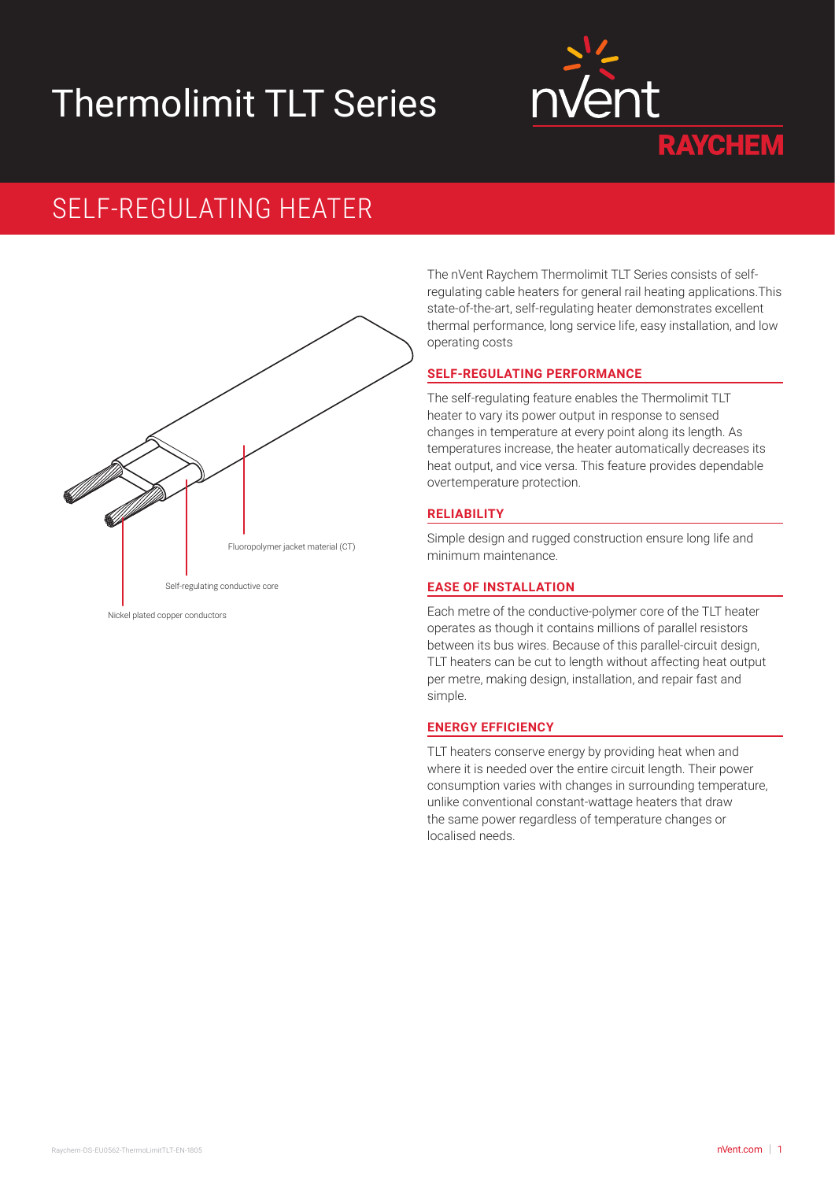# Thermolimit TLT Series



# SELF-REGULATING HEATER



The nVent Raychem Thermolimit TLT Series consists of selfregulating cable heaters for general rail heating applications.This state-of-the-art, self-regulating heater demonstrates excellent thermal performance, long service life, easy installation, and low operating costs

# **SELF-REGULATING PERFORMANCE**

The self-regulating feature enables the Thermolimit TLT heater to vary its power output in response to sensed changes in temperature at every point along its length. As temperatures increase, the heater automatically decreases its heat output, and vice versa. This feature provides dependable overtemperature protection.

# **RELIABILITY**

Simple design and rugged construction ensure long life and minimum maintenance.

# **EASE OF INSTALLATION**

Each metre of the conductive-polymer core of the TLT heater operates as though it contains millions of parallel resistors between its bus wires. Because of this parallel-circuit design, TLT heaters can be cut to length without affecting heat output per metre, making design, installation, and repair fast and simple.

#### **ENERGY EFFICIENCY**

TLT heaters conserve energy by providing heat when and where it is needed over the entire circuit length. Their power consumption varies with changes in surrounding temperature, unlike conventional constant-wattage heaters that draw the same power regardless of temperature changes or localised needs.